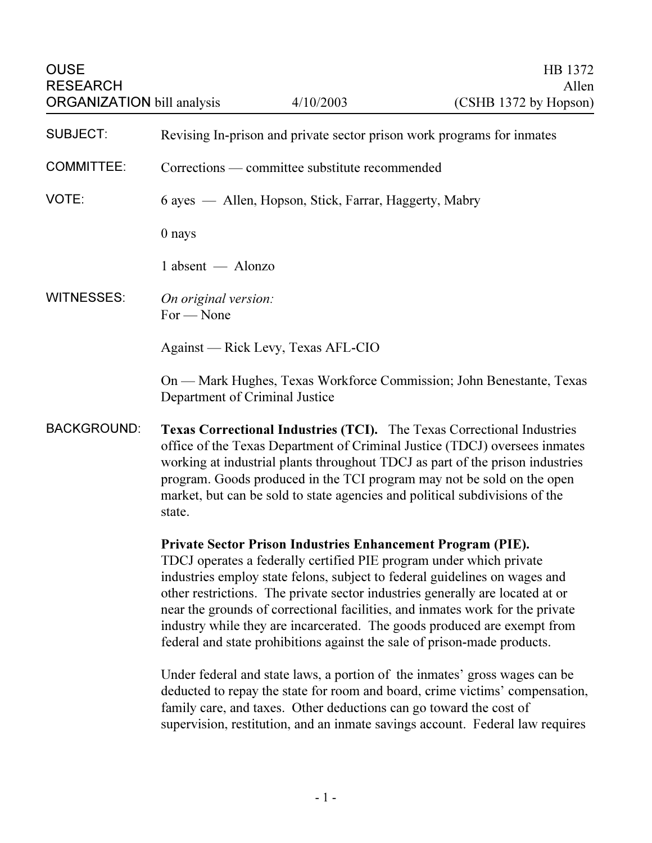| <b>OUSE</b><br><b>RESEARCH</b>    |                                                                                                                                                                                                                                                                                                                                                                                                                 | 4/10/2003                                                                                                                         | HB 1372<br>Allen                                                                                                                                                                                                                                                                                                                                                                                                                                                                                                                                                                                                                                                                                                           |
|-----------------------------------|-----------------------------------------------------------------------------------------------------------------------------------------------------------------------------------------------------------------------------------------------------------------------------------------------------------------------------------------------------------------------------------------------------------------|-----------------------------------------------------------------------------------------------------------------------------------|----------------------------------------------------------------------------------------------------------------------------------------------------------------------------------------------------------------------------------------------------------------------------------------------------------------------------------------------------------------------------------------------------------------------------------------------------------------------------------------------------------------------------------------------------------------------------------------------------------------------------------------------------------------------------------------------------------------------------|
| <b>ORGANIZATION</b> bill analysis |                                                                                                                                                                                                                                                                                                                                                                                                                 |                                                                                                                                   | (CSHB 1372 by Hopson)                                                                                                                                                                                                                                                                                                                                                                                                                                                                                                                                                                                                                                                                                                      |
| <b>SUBJECT:</b>                   | Revising In-prison and private sector prison work programs for inmates                                                                                                                                                                                                                                                                                                                                          |                                                                                                                                   |                                                                                                                                                                                                                                                                                                                                                                                                                                                                                                                                                                                                                                                                                                                            |
| <b>COMMITTEE:</b>                 | Corrections — committee substitute recommended                                                                                                                                                                                                                                                                                                                                                                  |                                                                                                                                   |                                                                                                                                                                                                                                                                                                                                                                                                                                                                                                                                                                                                                                                                                                                            |
| VOTE:                             | 6 ayes — Allen, Hopson, Stick, Farrar, Haggerty, Mabry                                                                                                                                                                                                                                                                                                                                                          |                                                                                                                                   |                                                                                                                                                                                                                                                                                                                                                                                                                                                                                                                                                                                                                                                                                                                            |
|                                   | 0 nays                                                                                                                                                                                                                                                                                                                                                                                                          |                                                                                                                                   |                                                                                                                                                                                                                                                                                                                                                                                                                                                                                                                                                                                                                                                                                                                            |
|                                   | $1$ absent $-$ Alonzo                                                                                                                                                                                                                                                                                                                                                                                           |                                                                                                                                   |                                                                                                                                                                                                                                                                                                                                                                                                                                                                                                                                                                                                                                                                                                                            |
| <b>WITNESSES:</b>                 | On original version:<br>$For - None$                                                                                                                                                                                                                                                                                                                                                                            |                                                                                                                                   |                                                                                                                                                                                                                                                                                                                                                                                                                                                                                                                                                                                                                                                                                                                            |
|                                   | Against — Rick Levy, Texas AFL-CIO                                                                                                                                                                                                                                                                                                                                                                              |                                                                                                                                   |                                                                                                                                                                                                                                                                                                                                                                                                                                                                                                                                                                                                                                                                                                                            |
|                                   | Department of Criminal Justice                                                                                                                                                                                                                                                                                                                                                                                  |                                                                                                                                   | On — Mark Hughes, Texas Workforce Commission; John Benestante, Texas                                                                                                                                                                                                                                                                                                                                                                                                                                                                                                                                                                                                                                                       |
| <b>BACKGROUND:</b>                | <b>Texas Correctional Industries (TCI).</b> The Texas Correctional Industries<br>office of the Texas Department of Criminal Justice (TDCJ) oversees inmates<br>working at industrial plants throughout TDCJ as part of the prison industries<br>program. Goods produced in the TCI program may not be sold on the open<br>market, but can be sold to state agencies and political subdivisions of the<br>state. |                                                                                                                                   |                                                                                                                                                                                                                                                                                                                                                                                                                                                                                                                                                                                                                                                                                                                            |
|                                   |                                                                                                                                                                                                                                                                                                                                                                                                                 | Private Sector Prison Industries Enhancement Program (PIE).<br>family care, and taxes. Other deductions can go toward the cost of | TDCJ operates a federally certified PIE program under which private<br>industries employ state felons, subject to federal guidelines on wages and<br>other restrictions. The private sector industries generally are located at or<br>near the grounds of correctional facilities, and inmates work for the private<br>industry while they are incarcerated. The goods produced are exempt from<br>federal and state prohibitions against the sale of prison-made products.<br>Under federal and state laws, a portion of the inmates' gross wages can be<br>deducted to repay the state for room and board, crime victims' compensation,<br>supervision, restitution, and an inmate savings account. Federal law requires |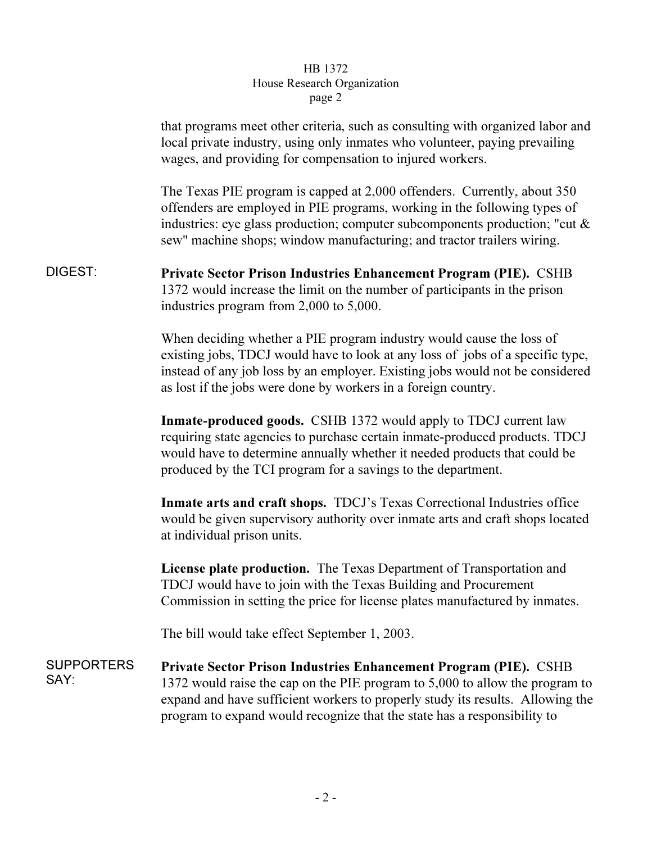## $_{\rm search}$  Or  $\frac{1}{\sqrt{1-\frac{1}{\sqrt{1-\frac{1}{\sqrt{1-\frac{1}{\sqrt{1-\frac{1}{\sqrt{1-\frac{1}{\sqrt{1-\frac{1}{\sqrt{1-\frac{1}{\sqrt{1-\frac{1}{\sqrt{1-\frac{1}{\sqrt{1-\frac{1}{\sqrt{1-\frac{1}{\sqrt{1-\frac{1}{\sqrt{1-\frac{1}{\sqrt{1-\frac{1}{\sqrt{1-\frac{1}{\sqrt{1-\frac{1}{\sqrt{1-\frac{1}{\sqrt{1-\frac{1}{\sqrt{1-\frac{1}{\sqrt{1-\frac{1}{\sqrt{1-\frac{1}{\sqrt{1-\frac{1}{\sqrt{1-\frac{1}{\sqrt{1-\frac{1$ page 2

|                           | that programs meet other criteria, such as consulting with organized labor and<br>local private industry, using only inmates who volunteer, paying prevailing<br>wages, and providing for compensation to injured workers.                                                                                            |
|---------------------------|-----------------------------------------------------------------------------------------------------------------------------------------------------------------------------------------------------------------------------------------------------------------------------------------------------------------------|
|                           | The Texas PIE program is capped at 2,000 offenders. Currently, about 350<br>offenders are employed in PIE programs, working in the following types of<br>industries: eye glass production; computer subcomponents production; "cut &<br>sew" machine shops; window manufacturing; and tractor trailers wiring.        |
| DIGEST:                   | Private Sector Prison Industries Enhancement Program (PIE). CSHB<br>1372 would increase the limit on the number of participants in the prison<br>industries program from 2,000 to 5,000.                                                                                                                              |
|                           | When deciding whether a PIE program industry would cause the loss of<br>existing jobs, TDCJ would have to look at any loss of jobs of a specific type,<br>instead of any job loss by an employer. Existing jobs would not be considered<br>as lost if the jobs were done by workers in a foreign country.             |
|                           | Inmate-produced goods. CSHB 1372 would apply to TDCJ current law<br>requiring state agencies to purchase certain inmate-produced products. TDCJ<br>would have to determine annually whether it needed products that could be<br>produced by the TCI program for a savings to the department.                          |
|                           | Inmate arts and craft shops. TDCJ's Texas Correctional Industries office<br>would be given supervisory authority over inmate arts and craft shops located<br>at individual prison units.                                                                                                                              |
|                           | License plate production. The Texas Department of Transportation and<br>TDCJ would have to join with the Texas Building and Procurement<br>Commission in setting the price for license plates manufactured by inmates.                                                                                                |
|                           | The bill would take effect September 1, 2003.                                                                                                                                                                                                                                                                         |
| <b>SUPPORTERS</b><br>SAY: | <b>Private Sector Prison Industries Enhancement Program (PIE).</b> CSHB<br>1372 would raise the cap on the PIE program to 5,000 to allow the program to<br>expand and have sufficient workers to properly study its results. Allowing the<br>program to expand would recognize that the state has a responsibility to |
|                           |                                                                                                                                                                                                                                                                                                                       |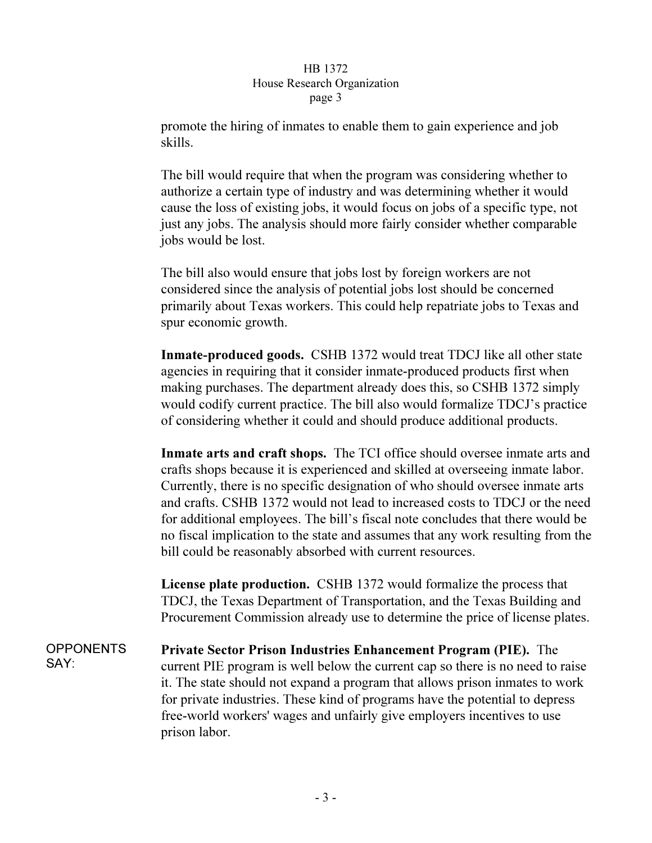## HB 1372 House Research Organization page 3  $\mathbf{r}$   $\mathbf{r}$   $\mathbf{s}$   $\mathbf{r}$   $\mathbf{s}$

promote the hiring of inmates to enable them to gain experience and job skills.

The bill would require that when the program was considering whether to authorize a certain type of industry and was determining whether it would cause the loss of existing jobs, it would focus on jobs of a specific type, not just any jobs. The analysis should more fairly consider whether comparable jobs would be lost.

The bill also would ensure that jobs lost by foreign workers are not considered since the analysis of potential jobs lost should be concerned primarily about Texas workers. This could help repatriate jobs to Texas and spur economic growth.

Inmate-produced goods. CSHB 1372 would treat TDCJ like all other state agencies in requiring that it consider inmate-produced products first when making purchases. The department already does this, so CSHB 1372 simply would codify current practice. The bill also would formalize TDCJ's practice of considering whether it could and should produce additional products.

Inmate arts and craft shops. The TCI office should oversee inmate arts and crafts shops because it is experienced and skilled at overseeing inmate labor. Currently, there is no specific designation of who should oversee inmate arts and crafts. CSHB 1372 would not lead to increased costs to TDCJ or the need for additional employees. The bill's fiscal note concludes that there would be no fiscal implication to the state and assumes that any work resulting from the bill could be reasonably absorbed with current resources.

License plate production. CSHB 1372 would formalize the process that TDCJ, the Texas Department of Transportation, and the Texas Building and Procurement Commission already use to determine the price of license plates.

**OPPONENTS** SAY: Private Sector Prison Industries Enhancement Program (PIE). The current PIE program is well below the current cap so there is no need to raise it. The state should not expand a program that allows prison inmates to work for private industries. These kind of programs have the potential to depress free-world workers' wages and unfairly give employers incentives to use prison labor.